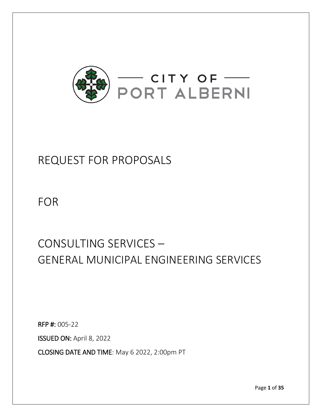

# REQUEST FOR PROPOSALS

FOR

# CONSULTING SERVICES – GENERAL MUNICIPAL ENGINEERING SERVICES

RFP #: 005-22

ISSUED ON: April 8, 2022

CLOSING DATE AND TIME: May 6 2022, 2:00pm PT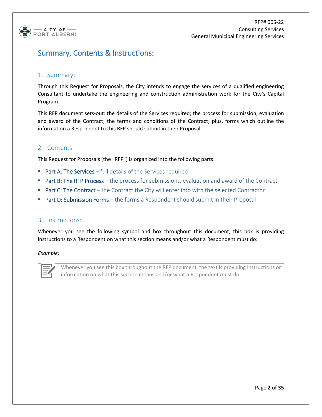

# Summary, Contents & Instructions:

#### 1. Summary:

Through this Request for Proposals, the City intends to engage the services of a qualified engineering Consultant to undertake the engineering and construction administration work for the City's Capital Program.

This RFP document sets-out: the details of the Services required; the process for submission, evaluation and award of the Contract; the terms and conditions of the Contract; plus, forms which outline the information a Respondent to this RFP should submit in their Proposal.

#### 2. Contents:

This Request for Proposals (the "RFP") is organized into the following parts:

- **Part A: The Services** full details of the Services required
- Part B: The RFP Process the process for submissions, evaluation and award of the Contract
- **Part C: The Contract** the Contract the City will enter into with the selected Contractor
- **Part D: Submission Forms** the forms a Respondent should submit in their Proposal

#### 3. Instructions:

Whenever you see the following symbol and box throughout this document, this box is providing instructions to a Respondent on what this section means and/or what a Respondent must do:

*Example:*

Whenever you see this box throughout the RFP document, the text is providing instructions or information on what this section means and/or what a Respondent must do.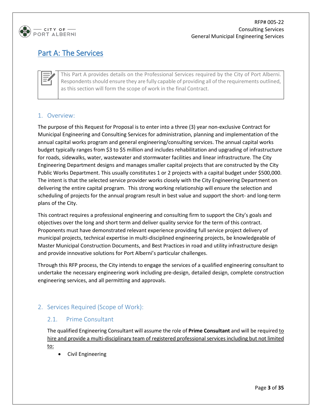

# Part A: The Services

This Part A provides details on the Professional Services required by the City of Port Alberni. Respondents should ensure they are fully capable of providing all of the requirements outlined, as this section will form the scope of work in the final Contract.

# 1. Overview:

The purpose of this Request for Proposal is to enter into a three (3) year non-exclusive Contract for Municipal Engineering and Consulting Services for administration, planning and implementation of the annual capital works program and general engineering/consulting services. The annual capital works budget typically ranges from \$3 to \$5 million and includes rehabilitation and upgrading of infrastructure for roads, sidewalks, water, wastewater and stormwater facilities and linear infrastructure. The City Engineering Department designs and manages smaller capital projects that are constructed by the City Public Works Department. This usually constitutes 1 or 2 projects with a capital budget under \$500,000. The intent is that the selected service provider works closely with the City Engineering Department on delivering the entire capital program. This strong working relationship will ensure the selection and scheduling of projects for the annual program result in best value and support the short- and long-term plans of the City.

This contract requires a professional engineering and consulting firm to support the City's goals and objectives over the long and short term and deliver quality service for the term of this contract. Proponents must have demonstrated relevant experience providing full service project delivery of municipal projects, technical expertise in multi-disciplined engineering projects, be knowledgeable of Master Municipal Construction Documents, and Best Practices in road and utility infrastructure design and provide innovative solutions for Port Alberni's particular challenges.

Through this RFP process, the City intends to engage the services of a qualified engineering consultant to undertake the necessary engineering work including pre-design, detailed design, complete construction engineering services, and all permitting and approvals.

# 2. Services Required (Scope of Work):

#### 2.1. Prime Consultant

The qualified Engineering Consultant will assume the role of **Prime Consultant** and will be required to hire and provide a multi-disciplinary team of registered professional services including but not limited to:

• Civil Engineering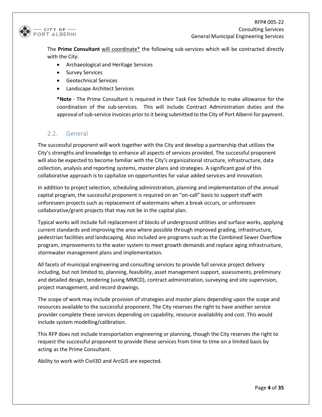

The **Prime Consultant** will coordinate\* the following sub-services which will be contracted directly with the City:

- Archaeological and Heritage Services
- Survey Services
- Geotechnical Services
- Landscape Architect Services

**\*Note** - The Prime Consultant is required in their Task Fee Schedule to make allowance for the coordination of the sub-services. This will include Contract Administration duties and the approval of sub-service invoices prior to it being submitted to the City of Port Alberni for payment.

# 2.2. General

The successful proponent will work together with the City and develop a partnership that utilizes the City's strengths and knowledge to enhance all aspects of services provided. The successful proponent will also be expected to become familiar with the City's organizational structure, infrastructure, data collection, analysis and reporting systems, master plans and strategies. A significant goal of this collaborative approach is to capitalize on opportunities for value added services and innovation.

In addition to project selection, scheduling administration, planning and implementation of the annual capital program, the successful proponent is required on an "on-call" basis to support staff with unforeseen projects such as replacement of watermains when a break occurs, or unforeseen collaborative/grant projects that may not be in the capital plan.

Typical works will include full replacement of blocks of underground utilities and surface works, applying current standards and improving the area where possible through improved grading, infrastructure, pedestrian facilities and landscaping. Also included are programs such as the Combined Sewer Overflow program, improvements to the water system to meet growth demands and replace aging infrastructure, stormwater management plans and implementation.

All facets of municipal engineering and consulting services to provide full service project delivery including, but not limited to, planning, feasibility, asset management support, assessments, preliminary and detailed design, tendering (using MMCD), contract administration, surveying and site supervision, project management, and record drawings.

The scope of work may include provision of strategies and master plans depending upon the scope and resources available to the successful proponent. The City reserves the right to have another service provider complete these services depending on capability, resource availability and cost. This would include system modelling/calibration.

This RFP does not include transportation engineering or planning, though the City reserves the right to request the successful proponent to provide these services from time to time on a limited basis by acting as the Prime Consultant.

Ability to work with Civil3D and ArcGIS are expected.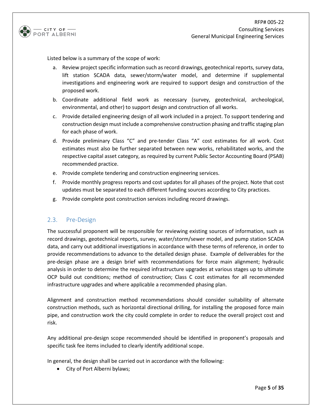

Listed below is a summary of the scope of work:

- a. Review project specific information such as record drawings, geotechnical reports, survey data, lift station SCADA data, sewer/storm/water model, and determine if supplemental investigations and engineering work are required to support design and construction of the proposed work.
- b. Coordinate additional field work as necessary (survey, geotechnical, archeological, environmental, and other) to support design and construction of all works.
- c. Provide detailed engineering design of all work included in a project. To support tendering and construction design must include a comprehensive construction phasing and traffic staging plan for each phase of work.
- d. Provide preliminary Class "C" and pre-tender Class "A" cost estimates for all work. Cost estimates must also be further separated between new works, rehabilitated works, and the respective capital asset category, as required by current Public Sector Accounting Board (PSAB) recommended practice.
- e. Provide complete tendering and construction engineering services.
- f. Provide monthly progress reports and cost updates for all phases of the project. Note that cost updates must be separated to each different funding sources according to City practices.
- g. Provide complete post construction services including record drawings.

#### 2.3. Pre-Design

The successful proponent will be responsible for reviewing existing sources of information, such as record drawings, geotechnical reports, survey, water/storm/sewer model, and pump station SCADA data, and carry out additional investigations in accordance with these terms of reference, in order to provide recommendations to advance to the detailed design phase. Example of deliverables for the pre-design phase are a design brief with recommendations for force main alignment; hydraulic analysis in order to determine the required infrastructure upgrades at various stages up to ultimate OCP build out conditions; method of construction; Class C cost estimates for all recommended infrastructure upgrades and where applicable a recommended phasing plan.

Alignment and construction method recommendations should consider suitability of alternate construction methods, such as horizontal directional drilling, for installing the proposed force main pipe, and construction work the city could complete in order to reduce the overall project cost and risk.

Any additional pre-design scope recommended should be identified in proponent's proposals and specific task fee items included to clearly identify additional scope.

In general, the design shall be carried out in accordance with the following:

• City of Port Alberni bylaws;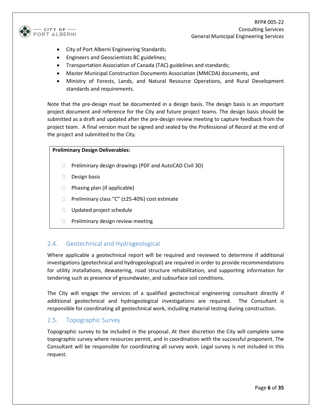

- City of Port Alberni Engineering Standards;
- Engineers and Geoscientists BC guidelines;
- Transportation Association of Canada (TAC) guidelines and standards;
- Master Municipal Construction Documents Association (MMCDA) documents, and
- Ministry of Forests, Lands, and Natural Resource Operations, and Rural Development standards and requirements.

Note that the pre-design must be documented in a design basis. The design basis is an important project document and reference for the City and future project teams. The design basis should be submitted as a draft and updated after the pre-design review meeting to capture feedback from the project team. A final version must be signed and sealed by the Professional of Record at the end of the project and submitted to the City.

#### **Preliminary Design Deliverables:**

- $\Box$  Preliminary design drawings (PDF and AutoCAD Civil 3D)
- $\Box$  Design basis
- $\Box$  Phasing plan (if applicable)
- $\Box$  Preliminary class "C" ( $\pm$ 25-40%) cost estimate
- □ Updated project schedule
- $\Box$  Preliminary design review meeting

#### 2.4. Geotechnical and Hydrogeological

Where applicable a geotechnical report will be required and reviewed to determine if additional investigations (geotechnical and hydrogeological) are required in order to provide recommendations for utility installations, dewatering, road structure rehabilitation, and supporting information for tendering such as presence of groundwater, and subsurface soil conditions.

The City will engage the services of a qualified geotechnical engineering consultant directly if additional geotechnical and hydrogeological investigations are required. The Consultant is responsible for coordinating all geotechnical work, including material testing during construction.

#### 2.5. Topographic Survey

Topographic survey to be included in the proposal. At their discretion the City will complete some topographic survey where resources permit, and in coordination with the successful proponent. The Consultant will be responsible for coordinating all survey work. Legal survey is not included in this request.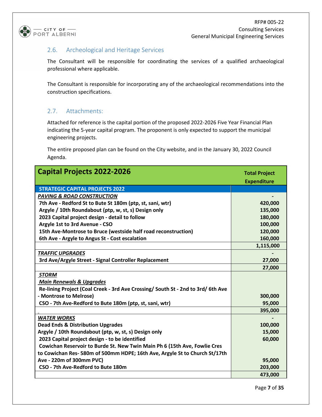

# 2.6. Archeological and Heritage Services

The Consultant will be responsible for coordinating the services of a qualified archaeological professional where applicable.

The Consultant is responsible for incorporating any of the archaeological recommendations into the construction specifications.

# 2.7. Attachments:

Attached for reference is the capital portion of the proposed 2022-2026 Five Year Financial Plan indicating the 5-year capital program. The proponent is only expected to support the municipal engineering projects.

The entire proposed plan can be found on the City website, and in the January 30, 2022 Council Agenda.

| <b>Capital Projects 2022-2026</b>                                                | <b>Total Project</b> |
|----------------------------------------------------------------------------------|----------------------|
|                                                                                  | <b>Expenditure</b>   |
| <b>STRATEGIC CAPITAL PROJECTS 2022</b>                                           |                      |
| <b>PAVING &amp; ROAD CONSTRUCTION</b>                                            |                      |
| 7th Ave - Redford St to Bute St 180m (ptp, st, sani, wtr)                        | 420,000              |
| Argyle / 10th Roundabout (ptp, w, st, s) Design only                             | 135,000              |
| 2023 Capital project design - detail to follow                                   | 180,000              |
| Argyle 1st to 3rd Avenue - CSO                                                   | 100,000              |
| 15th Ave-Montrose to Bruce (westside half road reconstruction)                   | 120,000              |
| 6th Ave - Argyle to Angus St - Cost escalation                                   | 160,000              |
|                                                                                  | 1,115,000            |
| <b>TRAFFIC UPGRADES</b>                                                          |                      |
| 3rd Ave/Argyle Street - Signal Controller Replacement                            | 27,000               |
|                                                                                  | 27,000               |
| <b>STORM</b>                                                                     |                      |
| <b>Main Renewals &amp; Upgrades</b>                                              |                      |
| Re-lining Project (Coal Creek - 3rd Ave Crossing/ South St - 2nd to 3rd/ 6th Ave |                      |
| - Montrose to Melrose)                                                           | 300,000              |
| CSO - 7th Ave-Redford to Bute 180m (ptp, st, sani, wtr)                          | 95,000               |
|                                                                                  | 395,000              |
| <b>WATER WORKS</b>                                                               |                      |
| <b>Dead Ends &amp; Distribution Upgrades</b>                                     | 100,000              |
| Argyle / 10th Roundabout (ptp, w, st, s) Design only                             | 15,000               |
| 2023 Capital project design - to be identified                                   | 60,000               |
| Cowichan Reservoir to Burde St. New Twin Main Ph 6 (15th Ave, Fowlie Cres        |                      |
| to Cowichan Res-580m of 500mm HDPE; 16th Ave, Argyle St to Church St/17th        |                      |
| Ave - 220m of 300mm PVC)                                                         | 95,000               |
| CSO - 7th Ave-Redford to Bute 180m                                               | 203,000              |
|                                                                                  | 473,000              |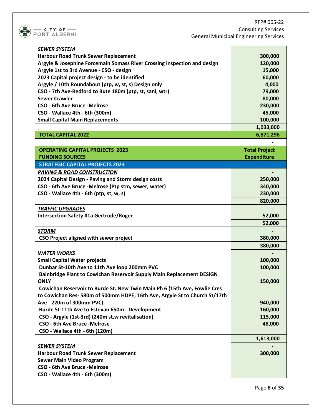

RFP# 005-22 Consulting Services General Municipal Engineering Services

| <b>SEWER SYSTEM</b>                                                        |                      |
|----------------------------------------------------------------------------|----------------------|
| <b>Harbour Road Trunk Sewer Replacement</b>                                | 300,000              |
| Argyle & Josephine Forcemain Somass River Crossing inspection and design   | 120,000              |
| Argyle 1st to 3rd Avenue - CSO - design                                    | 15,000               |
| 2023 Capital project design - to be identified                             | 60,000               |
| Argyle / 10th Roundabout (ptp, w, st, s) Design only                       | 4,000                |
| CSO - 7th Ave-Redford to Bute 180m (ptp, st, sani, wtr)                    | 79,000               |
| <b>Sewer Crawler</b>                                                       | 80,000               |
| <b>CSO - 6th Ave Bruce - Melrose</b>                                       | 230,000              |
| CSO - Wallace 4th - 6th (300m)                                             | 45,000               |
| <b>Small Capital Main Replacements</b>                                     | 100,000              |
|                                                                            | 1,033,000            |
| <b>TOTAL CAPITAL 2022</b>                                                  | 6,871,296            |
|                                                                            |                      |
| <b>OPERATING CAPITAL PROJECTS 2023</b>                                     | <b>Total Project</b> |
| <b>FUNDING SOURCES</b>                                                     | <b>Expenditure</b>   |
| <b>STRATEGIC CAPITAL PROJECTS 2023</b>                                     |                      |
| <b>PAVING &amp; ROAD CONSTRUCTION</b>                                      |                      |
| 2024 Capital Design - Paving and Storm design costs                        | 250,000              |
| CSO - 6th Ave Bruce -Melrose (Ptp stm, sewer, water)                       | 340,000              |
| CSO - Wallace 4th - 6th (ptp, st, w, s)                                    | 230,000              |
|                                                                            | 820,000              |
| <b>TRAFFIC UPGRADES</b>                                                    |                      |
| <b>Intersection Safety #1a Gertrude/Roger</b>                              | 52,000               |
|                                                                            | 52,000               |
| <b>STORM</b>                                                               |                      |
| CSO Project aligned with sewer project                                     | 380,000              |
|                                                                            | 380,000              |
| <b>WATER WORKS</b>                                                         |                      |
| <b>Small Capital Water projects</b>                                        | 100,000              |
| Dunbar St-10th Ave to 11th Ave loop 200mm PVC                              | 100,000              |
| Bainbridge Plant to Cowichan Reservoir Supply Main Replacement DESIGN      |                      |
| ONI Y                                                                      | 150,000              |
| Cowichan Reservoir to Burde St. New Twin Main Ph 6 (15th Ave, Fowlie Cres  |                      |
| to Cowichan Res- 580m of 500mm HDPE; 16th Ave, Argyle St to Church St/17th |                      |
| Ave - 220m of 300mm PVC)                                                   | 940,000              |
| Burde St-11th Ave to Estevan 650m - Development                            | 160,000              |
| CSO - Argyle (1st-3rd) (240m st, w revitalisation)                         | 115,000              |
| <b>CSO - 6th Ave Bruce - Melrose</b>                                       | 48,000               |
| CSO - Wallace 4th - 6th (120m)                                             |                      |
|                                                                            | 1,613,000            |
| <b>SEWER SYSTEM</b>                                                        |                      |
| <b>Harbour Road Trunk Sewer Replacement</b>                                | 300,000              |
| <b>Sewer Main Video Program</b>                                            |                      |
| <b>CSO - 6th Ave Bruce -Melrose</b>                                        |                      |
| CSO - Wallace 4th - 6th (300m)                                             |                      |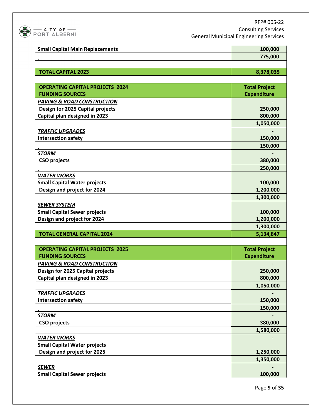

|                                        | 100,000              |
|----------------------------------------|----------------------|
| <b>Small Capital Main Replacements</b> |                      |
|                                        | 775,000              |
|                                        |                      |
| <b>TOTAL CAPITAL 2023</b>              | 8,378,035            |
|                                        |                      |
| <b>OPERATING CAPITAL PROJECTS 2024</b> | <b>Total Project</b> |
| <b>FUNDING SOURCES</b>                 | <b>Expenditure</b>   |
| <b>PAVING &amp; ROAD CONSTRUCTION</b>  |                      |
| Design for 2025 Capital projects       | 250,000              |
| Capital plan designed in 2023          | 800,000              |
|                                        | 1,050,000            |
| <b>TRAFFIC UPGRADES</b>                |                      |
| <b>Intersection safety</b>             | 150,000              |
|                                        | 150,000              |
| <b>STORM</b>                           |                      |
| <b>CSO projects</b>                    | 380,000              |
|                                        | 250,000              |
| <b>WATER WORKS</b>                     |                      |
| <b>Small Capital Water projects</b>    | 100,000              |
| Design and project for 2024            | 1,200,000            |
|                                        | 1,300,000            |
| <b>SEWER SYSTEM</b>                    |                      |
| <b>Small Capital Sewer projects</b>    | 100,000              |
| Design and project for 2024            | 1,200,000            |
|                                        | 1,300,000            |
| <b>TOTAL GENERAL CAPITAL 2024</b>      | 5,134,847            |
|                                        |                      |
| <b>OPERATING CAPITAL PROJECTS 2025</b> | <b>Total Project</b> |
| <b>FUNDING SOURCES</b>                 | <b>Expenditure</b>   |
| <b>PAVING &amp; ROAD CONSTRUCTION</b>  |                      |
| Design for 2025 Capital projects       | 250,000              |
| Capital plan designed in 2023          | 800,000              |
|                                        | 1,050,000            |
| <b>TRAFFIC UPGRADES</b>                |                      |
| <b>Intersection safety</b>             | 150,000              |
|                                        | 150,000              |
| <b>STORM</b>                           |                      |
| <b>CSO projects</b>                    | 380,000              |
|                                        | 1,580,000            |
| <b>WATER WORKS</b>                     |                      |
| <b>Small Capital Water projects</b>    |                      |
| Design and project for 2025            | 1,250,000            |
|                                        | 1,350,000            |
| <b>SEWER</b>                           |                      |
| <b>Small Capital Sewer projects</b>    | 100,000              |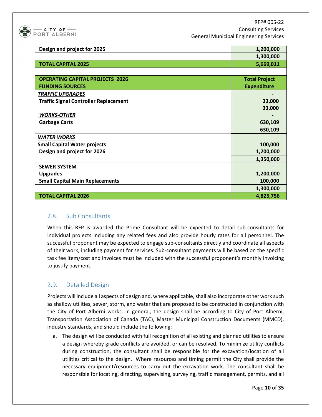

RFP# 005-22 Consulting Services General Municipal Engineering Services

| Design and project for 2025                  | 1,200,000            |
|----------------------------------------------|----------------------|
|                                              | 1,300,000            |
| <b>TOTAL CAPITAL 2025</b>                    | 5,669,011            |
|                                              |                      |
| <b>OPERATING CAPITAL PROJECTS 2026</b>       | <b>Total Project</b> |
| <b>FUNDING SOURCES</b>                       | <b>Expenditure</b>   |
| <b>TRAFFIC UPGRADES</b>                      |                      |
| <b>Traffic Signal Controller Replacement</b> | 33,000               |
|                                              | 33,000               |
| <b>WORKS-OTHER</b>                           |                      |
| <b>Garbage Carts</b>                         | 630,109              |
|                                              | 630,109              |
| <b>WATER WORKS</b>                           |                      |
| <b>Small Capital Water projects</b>          | 100,000              |
| Design and project for 2026                  | 1,200,000            |
|                                              | 1,350,000            |
| <b>SEWER SYSTEM</b>                          |                      |
| <b>Upgrades</b>                              | 1,200,000            |
| <b>Small Capital Main Replacements</b>       | 100,000              |
|                                              | 1,300,000            |
| <b>TOTAL CAPITAL 2026</b>                    | 4,825,756            |

#### 2.8. Sub Consultants

When this RFP is awarded the Prime Consultant will be expected to detail sub-consultants for individual projects including any related fees and also provide hourly rates for all personnel. The successful proponent may be expected to engage sub-consultants directly and coordinate all aspects of their work, including payment for services. Sub-consultant payments will be based on the specific task fee item/cost and invoices must be included with the successful proponent's monthly invoicing to justify payment.

# 2.9. Detailed Design

Projects will include all aspects of design and, where applicable, shall also incorporate other work such as shallow utilities, sewer, storm, and water that are proposed to be constructed in conjunction with the City of Port Alberni works. In general, the design shall be according to City of Port Alberni, Transportation Association of Canada (TAC), Master Municipal Construction Documents (MMCD), industry standards, and should include the following:

a. The design will be conducted with full recognition of all existing and planned utilities to ensure a design whereby grade conflicts are avoided, or can be resolved. To minimize utility conflicts during construction, the consultant shall be responsible for the excavation/location of all utilities critical to the design. Where resources and timing permit the City shall provide the necessary equipment/resources to carry out the excavation work. The consultant shall be responsible for locating, directing, supervising, surveying, traffic management, permits, and all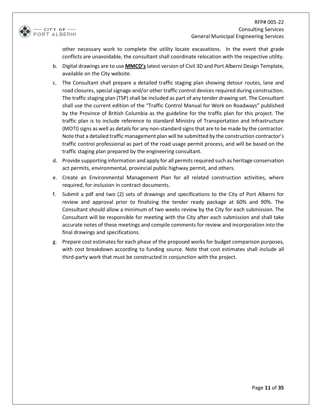

other necessary work to complete the utility locate excavations. In the event that grade conflicts are unavoidable, the consultant shall coordinate relocation with the respective utility.

- b. Digital drawings are to use **MMCD's**latest version of Civil 3D and Port Alberni Design Template, available on the City website.
- c. The Consultant shall prepare a detailed traffic staging plan showing detour routes, lane and road closures, special signage and/or other traffic control devices required during construction. The traffic staging plan (TSP) shall be included as part of any tender drawing set. The Consultant shall use the current edition of the "Traffic Control Manual for Work on Roadways" published by the Province of British Columbia as the guideline for the traffic plan for this project. The traffic plan is to include reference to standard Ministry of Transportation and Infrastructure (MOTI) signs as well as details for any non-standard signs that are to be made by the contractor. Note that a detailed traffic management plan will be submitted by the construction contractor's traffic control professional as part of the road usage permit process, and will be based on the traffic staging plan prepared by the engineering consultant.
- d. Provide supporting information and apply for all permits required such as heritage conservation act permits, environmental, provincial public highway permit, and others.
- e. Create an Environmental Management Plan for all related construction activities, where required, for inclusion in contract documents.
- f. Submit a pdf and two (2) sets of drawings and specifications to the City of Port Alberni for review and approval prior to finalizing the tender ready package at 60% and 90%. The Consultant should allow a minimum of two weeks review by the City for each submission. The Consultant will be responsible for meeting with the City after each submission and shall take accurate notes of these meetings and compile comments for review and incorporation into the final drawings and specifications.
- g. Prepare cost estimates for each phase of the proposed works for budget comparison purposes, with cost breakdown according to funding source. Note that cost estimates shall include all third-party work that must be constructed in conjunction with the project.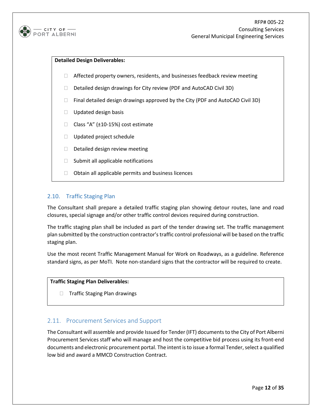

#### **Detailed Design Deliverables:**

- $\Box$  Affected property owners, residents, and businesses feedback review meeting
- Detailed design drawings for City review (PDF and AutoCAD Civil 3D)
- $\Box$  Final detailed design drawings approved by the City (PDF and AutoCAD Civil 3D)
- $\Box$  Updated design basis
- $\Box$  Class "A" ( $\pm$ 10-15%) cost estimate
- D Updated project schedule
- D Detailed design review meeting
- $\Box$  Submit all applicable notifications
- $\Box$  Obtain all applicable permits and business licences

#### 2.10. Traffic Staging Plan

The Consultant shall prepare a detailed traffic staging plan showing detour routes, lane and road closures, special signage and/or other traffic control devices required during construction.

The traffic staging plan shall be included as part of the tender drawing set. The traffic management plan submitted by the construction contractor's traffic control professional will be based on the traffic staging plan.

Use the most recent Traffic Management Manual for Work on Roadways, as a guideline. Reference standard signs, as per MoTI. Note non-standard signs that the contractor will be required to create.

#### **Traffic Staging Plan Deliverables:**

□ Traffic Staging Plan drawings

# 2.11. Procurement Services and Support

The Consultant will assemble and provide Issued for Tender (IFT) documents to the City of Port Alberni Procurement Services staff who will manage and host the competitive bid process using its front-end documents and electronic procurement portal. The intent is to issue a formal Tender, select a qualified low bid and award a MMCD Construction Contract.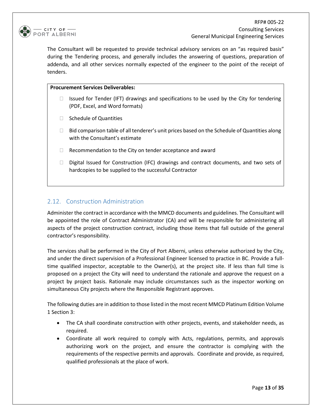

The Consultant will be requested to provide technical advisory services on an "as required basis" during the Tendering process, and generally includes the answering of questions, preparation of addenda, and all other services normally expected of the engineer to the point of the receipt of tenders.

#### **Procurement Services Deliverables:**

- $\Box$  Issued for Tender (IFT) drawings and specifications to be used by the City for tendering (PDF, Excel, and Word formats)
- $\Box$  Schedule of Quantities
- $\Box$  Bid comparison table of all tenderer's unit prices based on the Schedule of Quantities along with the Consultant's estimate
- $\Box$  Recommendation to the City on tender acceptance and award
- $\Box$  Digital Issued for Construction (IFC) drawings and contract documents, and two sets of hardcopies to be supplied to the successful Contractor

# 2.12. Construction Administration

Administer the contract in accordance with the MMCD documents and guidelines. The Consultant will be appointed the role of Contract Administrator (CA) and will be responsible for administering all aspects of the project construction contract, including those items that fall outside of the general contractor's responsibility.

The services shall be performed in the City of Port Alberni, unless otherwise authorized by the City, and under the direct supervision of a Professional Engineer licensed to practice in BC. Provide a fulltime qualified inspector, acceptable to the Owner(s), at the project site. If less than full time is proposed on a project the City will need to understand the rationale and approve the request on a project by project basis. Rationale may include circumstances such as the inspector working on simultaneous City projects where the Responsible Registrant approves.

The following duties are in addition to those listed in the most recent MMCD Platinum Edition Volume 1 Section 3:

- The CA shall coordinate construction with other projects, events, and stakeholder needs, as required.
- Coordinate all work required to comply with Acts, regulations, permits, and approvals authorizing work on the project, and ensure the contractor is complying with the requirements of the respective permits and approvals. Coordinate and provide, as required, qualified professionals at the place of work.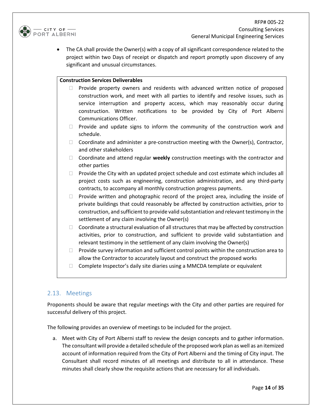

• The CA shall provide the Owner(s) with a copy of all significant correspondence related to the project within two Days of receipt or dispatch and report promptly upon discovery of any significant and unusual circumstances.

#### **Construction Services Deliverables**

- $\Box$  Provide property owners and residents with advanced written notice of proposed construction work, and meet with all parties to identify and resolve issues, such as service interruption and property access, which may reasonably occur during construction. Written notifications to be provided by City of Port Alberni Communications Officer.
- $\Box$  Provide and update signs to inform the community of the construction work and schedule.
- $\Box$  Coordinate and administer a pre-construction meeting with the Owner(s), Contractor, and other stakeholders
- Coordinate and attend regular **weekly** construction meetings with the contractor and other parties
- $\Box$  Provide the City with an updated project schedule and cost estimate which includes all project costs such as engineering, construction administration, and any third-party contracts, to accompany all monthly construction progress payments.
- $\Box$  Provide written and photographic record of the project area, including the inside of private buildings that could reasonably be affected by construction activities, prior to construction, and sufficient to provide valid substantiation and relevant testimony in the settlement of any claim involving the Owner(s)
- $\Box$  Coordinate a structural evaluation of all structures that may be affected by construction activities, prior to construction, and sufficient to provide valid substantiation and relevant testimony in the settlement of any claim involving the Owner(s)
- $\Box$  Provide survey information and sufficient control points within the construction area to allow the Contractor to accurately layout and construct the proposed works
- $\Box$  Complete Inspector's daily site diaries using a MMCDA template or equivalent

#### 2.13. Meetings

Proponents should be aware that regular meetings with the City and other parties are required for successful delivery of this project.

The following provides an overview of meetings to be included for the project.

a. Meet with City of Port Alberni staff to review the design concepts and to gather information. The consultant will provide a detailed schedule of the proposed work plan as well as an itemized account of information required from the City of Port Alberni and the timing of City input. The Consultant shall record minutes of all meetings and distribute to all in attendance. These minutes shall clearly show the requisite actions that are necessary for all individuals.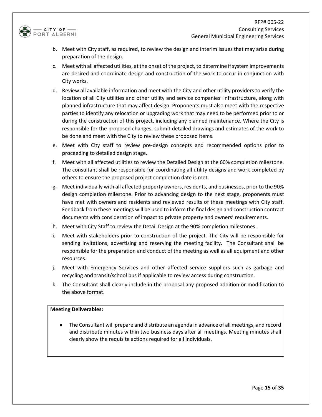

- b. Meet with City staff, as required, to review the design and interim issues that may arise during preparation of the design.
- c. Meet with all affected utilities, at the onset of the project, to determine if system improvements are desired and coordinate design and construction of the work to occur in conjunction with City works.
- d. Review all available information and meet with the City and other utility providers to verify the location of all City utilities and other utility and service companies' infrastructure, along with planned infrastructure that may affect design. Proponents must also meet with the respective parties to identify any relocation or upgrading work that may need to be performed prior to or during the construction of this project, including any planned maintenance. Where the City is responsible for the proposed changes, submit detailed drawings and estimates of the work to be done and meet with the City to review these proposed items.
- e. Meet with City staff to review pre-design concepts and recommended options prior to proceeding to detailed design stage.
- f. Meet with all affected utilities to review the Detailed Design at the 60% completion milestone. The consultant shall be responsible for coordinating all utility designs and work completed by others to ensure the proposed project completion date is met.
- g. Meet individually with all affected property owners, residents, and businesses, prior to the 90% design completion milestone. Prior to advancing design to the next stage, proponents must have met with owners and residents and reviewed results of these meetings with City staff. Feedback from these meetings will be used to inform the final design and construction contract documents with consideration of impact to private property and owners' requirements.
- h. Meet with City Staff to review the Detail Design at the 90% completion milestones.
- i. Meet with stakeholders prior to construction of the project. The City will be responsible for sending invitations, advertising and reserving the meeting facility. The Consultant shall be responsible for the preparation and conduct of the meeting as well as all equipment and other resources.
- j. Meet with Emergency Services and other affected service suppliers such as garbage and recycling and transit/school bus if applicable to review access during construction.
- k. The Consultant shall clearly include in the proposal any proposed addition or modification to the above format.

#### **Meeting Deliverables:**

• The Consultant will prepare and distribute an agenda in advance of all meetings, and record and distribute minutes within two business days after all meetings. Meeting minutes shall clearly show the requisite actions required for all individuals.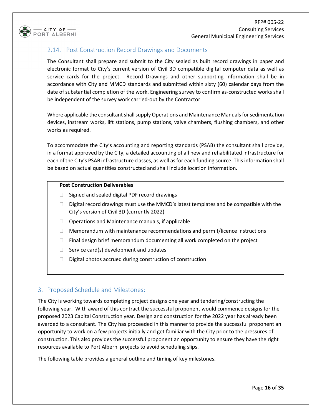

### 2.14. Post Construction Record Drawings and Documents

The Consultant shall prepare and submit to the City sealed as built record drawings in paper and electronic format to City's current version of Civil 3D compatible digital computer data as well as service cards for the project. Record Drawings and other supporting information shall be in accordance with City and MMCD standards and submitted within sixty (60) calendar days from the date of substantial completion of the work. Engineering survey to confirm as-constructed works shall be independent of the survey work carried-out by the Contractor.

Where applicable the consultant shall supply Operations and Maintenance Manuals for sedimentation devices, instream works, lift stations, pump stations, valve chambers, flushing chambers, and other works as required.

To accommodate the City's accounting and reporting standards (PSAB) the consultant shall provide, in a format approved by the City, a detailed accounting of all new and rehabilitated infrastructure for each of the City's PSAB infrastructure classes, as well as for each funding source. This information shall be based on actual quantities constructed and shall include location information.

#### **Post Construction Deliverables**

- $\Box$  Signed and sealed digital PDF record drawings
- $\Box$  Digital record drawings must use the MMCD's latest templates and be compatible with the City's version of Civil 3D (currently 2022)
- $\Box$  Operations and Maintenance manuals, if applicable
- $\Box$  Memorandum with maintenance recommendations and permit/licence instructions
- $\Box$  Final design brief memorandum documenting all work completed on the project
- $\Box$  Service card(s) development and updates
- $\Box$  Digital photos accrued during construction of construction

#### 3. Proposed Schedule and Milestones:

The City is working towards completing project designs one year and tendering/constructing the following year. With award of this contract the successful proponent would commence designs for the proposed 2023 Capital Construction year. Design and construction for the 2022 year has already been awarded to a consultant. The City has proceeded in this manner to provide the successful proponent an opportunity to work on a few projects initially and get familiar with the City prior to the pressures of construction. This also provides the successful proponent an opportunity to ensure they have the right resources available to Port Alberni projects to avoid scheduling slips.

The following table provides a general outline and timing of key milestones.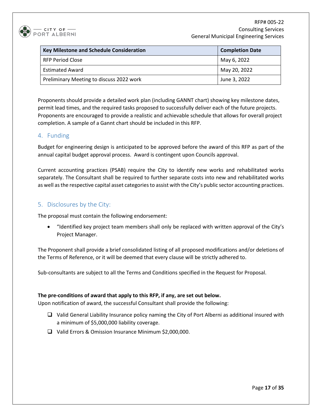

| <b>Key Milestone and Schedule Consideration</b> | <b>Completion Date</b> |
|-------------------------------------------------|------------------------|
| <b>RFP Period Close</b>                         | May 6, 2022            |
| <b>Estimated Award</b>                          | May 20, 2022           |
| Preliminary Meeting to discuss 2022 work        | June 3, 2022           |

Proponents should provide a detailed work plan (including GANNT chart) showing key milestone dates, permit lead times, and the required tasks proposed to successfully deliver each of the future projects. Proponents are encouraged to provide a realistic and achievable schedule that allows for overall project completion. A sample of a Gannt chart should be included in this RFP.

# 4. Funding

Budget for engineering design is anticipated to be approved before the award of this RFP as part of the annual capital budget approval process. Award is contingent upon Councils approval.

Current accounting practices (PSAB) require the City to identify new works and rehabilitated works separately. The Consultant shall be required to further separate costs into new and rehabilitated works as well as the respective capital asset categories to assist with the City's public sector accounting practices.

# 5. Disclosures by the City:

The proposal must contain the following endorsement:

• "Identified key project team members shall only be replaced with written approval of the City's Project Manager.

The Proponent shall provide a brief consolidated listing of all proposed modifications and/or deletions of the Terms of Reference, or it will be deemed that every clause will be strictly adhered to.

Sub-consultants are subject to all the Terms and Conditions specified in the Request for Proposal.

#### **The pre-conditions of award that apply to this RFP, if any, are set out below.**

Upon notification of award, the successful Consultant shall provide the following:

- $\Box$  Valid General Liability Insurance policy naming the City of Port Alberni as additional insured with a minimum of \$5,000,000 liability coverage.
- Valid Errors & Omission Insurance Minimum \$2,000,000.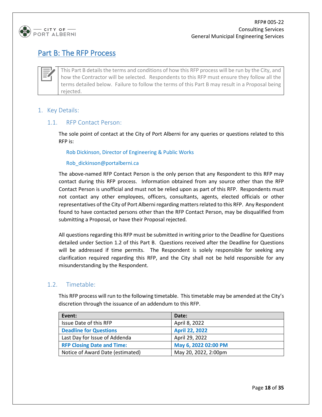

# Part B: The RFP Process

This Part B details the terms and conditions of how this RFP process will be run by the City, and how the Contractor will be selected. Respondents to this RFP must ensure they follow all the terms detailed below. Failure to follow the terms of this Part B may result in a Proposal being rejected.

#### 1. Key Details:

#### 1.1. RFP Contact Person:

The sole point of contact at the City of Port Alberni for any queries or questions related to this RFP is:

Rob Dickinson, Director of Engineering & Public Works

#### Rob\_dickinson@portalberni.ca

The above-named RFP Contact Person is the only person that any Respondent to this RFP may contact during this RFP process. Information obtained from any source other than the RFP Contact Person is unofficial and must not be relied upon as part of this RFP. Respondents must not contact any other employees, officers, consultants, agents, elected officials or other representatives of the City of Port Alberni regarding matters related to this RFP. Any Respondent found to have contacted persons other than the RFP Contact Person, may be disqualified from submitting a Proposal, or have their Proposal rejected.

All questions regarding this RFP must be submitted in writing prior to the Deadline for Questions detailed under Section 1.2 of this Part B. Questions received after the Deadline for Questions will be addressed if time permits. The Respondent is solely responsible for seeking any clarification required regarding this RFP, and the City shall not be held responsible for any misunderstanding by the Respondent.

#### 1.2. Timetable:

This RFP process will run to the following timetable. This timetable may be amended at the City's discretion through the issuance of an addendum to this RFP.

| Event:                            | Date:                 |
|-----------------------------------|-----------------------|
| Issue Date of this RFP            | April 8, 2022         |
| <b>Deadline for Questions</b>     | <b>April 22, 2022</b> |
| Last Day for Issue of Addenda     | April 29, 2022        |
| <b>RFP Closing Date and Time:</b> | May 6, 2022 02:00 PM  |
| Notice of Award Date (estimated)  | May 20, 2022, 2:00pm  |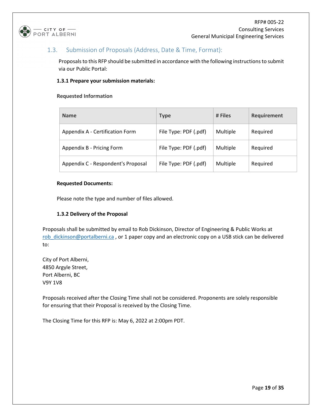

# 1.3. Submission of Proposals (Address, Date & Time, Format):

Proposals to this RFP should be submitted in accordance with the following instructions to submit via our Public Portal:

#### **1.3.1 Prepare your submission materials:**

#### **Requested Information**

| <b>Name</b>                        | <b>Type</b>           | # Files  | Requirement |
|------------------------------------|-----------------------|----------|-------------|
| Appendix A - Certification Form    | File Type: PDF (.pdf) | Multiple | Required    |
| Appendix B - Pricing Form          | File Type: PDF (.pdf) | Multiple | Required    |
| Appendix C - Respondent's Proposal | File Type: PDF (.pdf) | Multiple | Required    |

#### **Requested Documents:**

Please note the type and number of files allowed.

#### **1.3.2 Delivery of the Proposal**

Proposals shall be submitted by email to Rob Dickinson, Director of Engineering & Public Works at [rob\\_dickinson@portalberni.ca](mailto:rob_dickinson@portalberni.ca), or 1 paper copy and an electronic copy on a USB stick can be delivered to:

City of Port Alberni, 4850 Argyle Street, Port Alberni, BC V9Y 1V8

Proposals received after the Closing Time shall not be considered. Proponents are solely responsible for ensuring that their Proposal is received by the Closing Time.

The Closing Time for this RFP is: May 6, 2022 at 2:00pm PDT.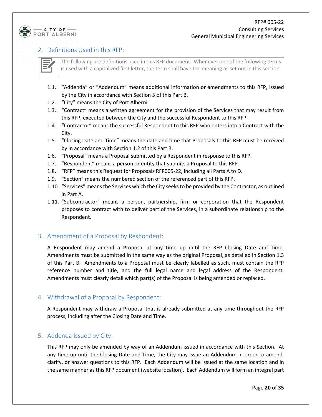

### 2. Definitions Used in this RFP:

The following are definitions used in this RFP document. Whenever one of the following terms is used with a capitalized first letter, the term shall have the meaning as set out in this section.

- 1.1. "Addenda" or "Addendum" means additional information or amendments to this RFP, issued by the City in accordance with Section 5 of this Part B.
- 1.2. "City" means the City of Port Alberni.
- 1.3. "Contract" means a written agreement for the provision of the Services that may result from this RFP, executed between the City and the successful Respondent to this RFP.
- 1.4. "Contractor" means the successful Respondent to this RFP who enters into a Contract with the City.
- 1.5. "Closing Date and Time" means the date and time that Proposals to this RFP must be received by in accordance with Section 1.2 of this Part B.
- 1.6. "Proposal" means a Proposal submitted by a Respondent in response to this RFP.
- 1.7. "Respondent" means a person or entity that submits a Proposal to this RFP.
- 1.8. "RFP" means this Request for Proposals RFP005-22, including all Parts A to D.
- 1.9. "Section" means the numbered section of the referenced part of this RFP.
- 1.10. "Services" means the Services which the City seeks to be provided by the Contractor, as outlined in Part A.
- 1.11. "Subcontractor" means a person, partnership, firm or corporation that the Respondent proposes to contract with to deliver part of the Services, in a subordinate relationship to the Respondent.

# 3. Amendment of a Proposal by Respondent:

A Respondent may amend a Proposal at any time up until the RFP Closing Date and Time. Amendments must be submitted in the same way as the original Proposal, as detailed in Section 1.3 of this Part B. Amendments to a Proposal must be clearly labelled as such, must contain the RFP reference number and title, and the full legal name and legal address of the Respondent. Amendments must clearly detail which part(s) of the Proposal is being amended or replaced.

#### 4. Withdrawal of a Proposal by Respondent:

A Respondent may withdraw a Proposal that is already submitted at any time throughout the RFP process, including after the Closing Date and Time.

#### 5. Addenda Issued by City:

This RFP may only be amended by way of an Addendum issued in accordance with this Section. At any time up until the Closing Date and Time, the City may issue an Addendum in order to amend, clarify, or answer questions to this RFP. Each Addendum will be issued at the same location and in the same manner as this RFP document (website location). Each Addendum will form an integral part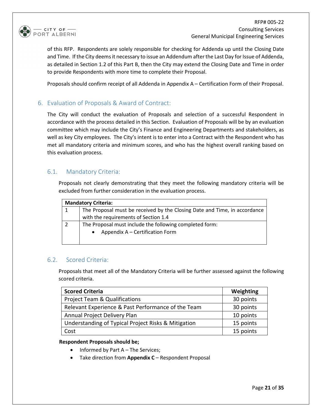

RFP# 005-22 Consulting Services General Municipal Engineering Services

of this RFP. Respondents are solely responsible for checking for Addenda up until the Closing Date and Time. If the City deems it necessary to issue an Addendum after the Last Day for Issue of Addenda, as detailed in Section 1.2 of this Part B, then the City may extend the Closing Date and Time in order to provide Respondents with more time to complete their Proposal.

Proposals should confirm receipt of all Addenda in Appendix A – Certification Form of their Proposal.

#### 6. Evaluation of Proposals & Award of Contract:

The City will conduct the evaluation of Proposals and selection of a successful Respondent in accordance with the process detailed in this Section. Evaluation of Proposals will be by an evaluation committee which may include the City's Finance and Engineering Departments and stakeholders, as well as key City employees. The City's intent is to enter into a Contract with the Respondent who has met all mandatory criteria and minimum scores, and who has the highest overall ranking based on this evaluation process.

#### 6.1. Mandatory Criteria:

Proposals not clearly demonstrating that they meet the following mandatory criteria will be excluded from further consideration in the evaluation process.

| <b>Mandatory Criteria:</b>                                                |  |  |  |
|---------------------------------------------------------------------------|--|--|--|
| The Proposal must be received by the Closing Date and Time, in accordance |  |  |  |
| with the requirements of Section 1.4                                      |  |  |  |
| The Proposal must include the following completed form:                   |  |  |  |
| Appendix A – Certification Form                                           |  |  |  |
|                                                                           |  |  |  |

#### 6.2. Scored Criteria:

Proposals that meet all of the Mandatory Criteria will be further assessed against the following scored criteria.

| <b>Scored Criteria</b>                              | Weighting |
|-----------------------------------------------------|-----------|
| <b>Project Team &amp; Qualifications</b>            | 30 points |
| Relevant Experience & Past Performance of the Team  | 30 points |
| Annual Project Delivery Plan                        | 10 points |
| Understanding of Typical Project Risks & Mitigation | 15 points |
| Cost                                                | 15 points |

#### **Respondent Proposals should be;**

- Informed by Part A The Services;
- Take direction from **Appendix C** Respondent Proposal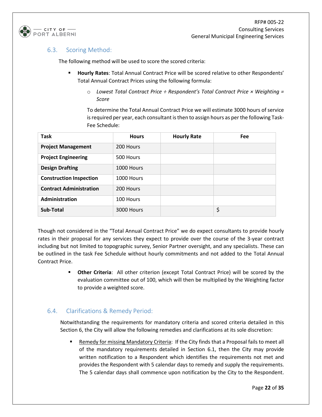

#### 6.3. Scoring Method:

The following method will be used to score the scored criteria:

- **Hourly Rates**: Total Annual Contract Price will be scored relative to other Respondents' Total Annual Contract Prices using the following formula:
	- o *Lowest Total Contract Price ÷ Respondent's Total Contract Price × Weighting = Score*

To determine the Total Annual Contract Price we will estimate 3000 hours of service is required per year, each consultant is then to assign hours as per the following Task-Fee Schedule:

| <b>Task</b>                    | <b>Hours</b> | <b>Hourly Rate</b> | <b>Fee</b> |
|--------------------------------|--------------|--------------------|------------|
| <b>Project Management</b>      | 200 Hours    |                    |            |
| <b>Project Engineering</b>     | 500 Hours    |                    |            |
| <b>Design Drafting</b>         | 1000 Hours   |                    |            |
| <b>Construction Inspection</b> | 1000 Hours   |                    |            |
| <b>Contract Administration</b> | 200 Hours    |                    |            |
| Administration                 | 100 Hours    |                    |            |
| Sub-Total                      | 3000 Hours   |                    | \$         |

Though not considered in the "Total Annual Contract Price" we do expect consultants to provide hourly rates in their proposal for any services they expect to provide over the course of the 3-year contract including but not limited to topographic survey, Senior Partner oversight, and any specialists. These can be outlined in the task Fee Schedule without hourly commitments and not added to the Total Annual Contract Price.

> **Other Criteria**: All other criterion (except Total Contract Price) will be scored by the evaluation committee out of 100, which will then be multiplied by the Weighting factor to provide a weighted score.

# 6.4. Clarifications & Remedy Period:

Notwithstanding the requirements for mandatory criteria and scored criteria detailed in this Section 6, the City will allow the following remedies and clarifications at its sole discretion:

 Remedy for missing Mandatory Criteria: If the City finds that a Proposal fails to meet all of the mandatory requirements detailed in Section 6.1, then the City may provide written notification to a Respondent which identifies the requirements not met and provides the Respondent with 5 calendar days to remedy and supply the requirements. The 5 calendar days shall commence upon notification by the City to the Respondent.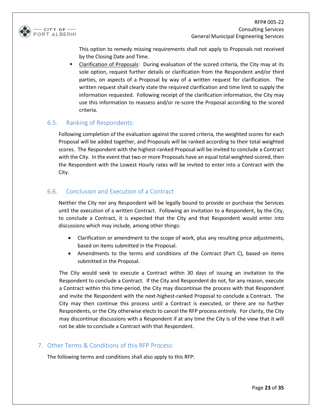

This option to remedy missing requirements shall not apply to Proposals not received by the Closing Date and Time.

 Clarification of Proposals: During evaluation of the scored criteria, the City may at its sole option, request further details or clarification from the Respondent and/or third parties, on aspects of a Proposal by way of a written request for clarification. The written request shall clearly state the required clarification and time limit to supply the information requested. Following receipt of the clarification information, the City may use this information to reassess and/or re-score the Proposal according to the scored criteria.

# 6.5. Ranking of Respondents:

Following completion of the evaluation against the scored criteria, the weighted scores for each Proposal will be added together, and Proposals will be ranked according to their total weighted scores. The Respondent with the highest-ranked Proposal will be invited to conclude a Contract with the City. In the event that two or more Proposals have an equal total weighted-scored, then the Respondent with the Lowest Hourly rates will be invited to enter into a Contract with the City.

# 6.6. Conclusion and Execution of a Contract

Neither the City nor any Respondent will be legally bound to provide or purchase the Services until the execution of a written Contract. Following an invitation to a Respondent, by the City, to conclude a Contract, it is expected that the City and that Respondent would enter into discussions which may include, among other things:

- Clarification or amendment to the scope of work, plus any resulting price adjustments, based on items submitted in the Proposal.
- Amendments to the terms and conditions of the Contract (Part C), based on items submitted in the Proposal.

The City would seek to execute a Contract within 30 days of issuing an invitation to the Respondent to conclude a Contract. If the City and Respondent do not, for any reason, execute a Contract within this time-period, the City may discontinue the process with that Respondent and invite the Respondent with the next-highest-ranked Proposal to conclude a Contract. The City may then continue this process until a Contract is executed, or there are no further Respondents, or the City otherwise elects to cancel the RFP process entirely. For clarity, the City may discontinue discussions with a Respondent if at any time the City is of the view that it will not be able to conclude a Contract with that Respondent.

#### 7. Other Terms & Conditions of this RFP Process:

The following terms and conditions shall also apply to this RFP: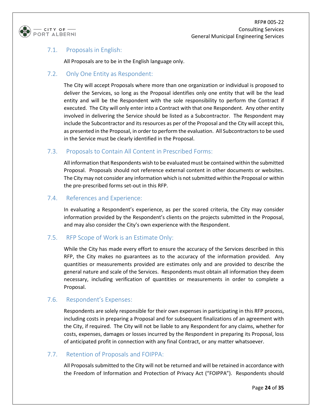

# 7.1. Proposals in English:

All Proposals are to be in the English language only.

### 7.2. Only One Entity as Respondent:

The City will accept Proposals where more than one organization or individual is proposed to deliver the Services, so long as the Proposal identifies only one entity that will be the lead entity and will be the Respondent with the sole responsibility to perform the Contract if executed. The City will only enter into a Contract with that one Respondent. Any other entity involved in delivering the Service should be listed as a Subcontractor. The Respondent may include the Subcontractor and its resources as per of the Proposal and the City will accept this, as presented in the Proposal, in order to perform the evaluation. All Subcontractors to be used in the Service must be clearly identified in the Proposal.

#### 7.3. Proposals to Contain All Content in Prescribed Forms:

All information that Respondents wish to be evaluated must be contained within the submitted Proposal. Proposals should not reference external content in other documents or websites. The City may not consider any information which is not submitted within the Proposal or within the pre-prescribed forms set-out in this RFP.

#### 7.4. References and Experience:

In evaluating a Respondent's experience, as per the scored criteria, the City may consider information provided by the Respondent's clients on the projects submitted in the Proposal, and may also consider the City's own experience with the Respondent.

# 7.5. RFP Scope of Work is an Estimate Only:

While the City has made every effort to ensure the accuracy of the Services described in this RFP, the City makes no guarantees as to the accuracy of the information provided. Any quantities or measurements provided are estimates only and are provided to describe the general nature and scale of the Services. Respondents must obtain all information they deem necessary, including verification of quantities or measurements in order to complete a Proposal.

# 7.6. Respondent's Expenses:

Respondents are solely responsible for their own expenses in participating in this RFP process, including costs in preparing a Proposal and for subsequent finalizations of an agreement with the City, if required. The City will not be liable to any Respondent for any claims, whether for costs, expenses, damages or losses incurred by the Respondent in preparing its Proposal, loss of anticipated profit in connection with any final Contract, or any matter whatsoever.

#### 7.7. Retention of Proposals and FOIPPA:

All Proposals submitted to the City will not be returned and will be retained in accordance with the Freedom of Information and Protection of Privacy Act ("FOIPPA"). Respondents should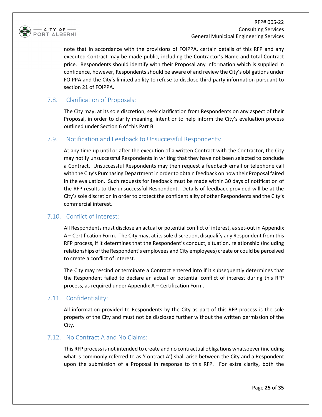

RFP# 005-22 Consulting Services General Municipal Engineering Services

note that in accordance with the provisions of FOIPPA, certain details of this RFP and any executed Contract may be made public, including the Contractor's Name and total Contract price. Respondents should identify with their Proposal any information which is supplied in confidence, however, Respondents should be aware of and review the City's obligations under FOIPPA and the City's limited ability to refuse to disclose third party information pursuant to section 21 of FOIPPA.

#### 7.8. Clarification of Proposals:

The City may, at its sole discretion, seek clarification from Respondents on any aspect of their Proposal, in order to clarify meaning, intent or to help inform the City's evaluation process outlined under Section 6 of this Part B.

#### 7.9. Notification and Feedback to Unsuccessful Respondents:

At any time up until or after the execution of a written Contract with the Contractor, the City may notify unsuccessful Respondents in writing that they have not been selected to conclude a Contract. Unsuccessful Respondents may then request a feedback email or telephone call with the City's Purchasing Department in order to obtain feedback on how their Proposal faired in the evaluation. Such requests for feedback must be made within 30 days of notification of the RFP results to the unsuccessful Respondent. Details of feedback provided will be at the City's sole discretion in order to protect the confidentiality of other Respondents and the City's commercial interest.

#### 7.10. Conflict of Interest:

All Respondents must disclose an actual or potential conflict of interest, as set-out in Appendix A – Certification Form. The City may, at its sole discretion, disqualify any Respondent from this RFP process, if it determines that the Respondent's conduct, situation, relationship (including relationships of the Respondent's employees and City employees) create or could be perceived to create a conflict of interest.

The City may rescind or terminate a Contract entered into if it subsequently determines that the Respondent failed to declare an actual or potential conflict of interest during this RFP process, as required under Appendix A – Certification Form.

#### 7.11. Confidentiality:

All information provided to Respondents by the City as part of this RFP process is the sole property of the City and must not be disclosed further without the written permission of the City.

#### 7.12. No Contract A and No Claims:

This RFP process is not intended to create and no contractual obligations whatsoever (including what is commonly referred to as 'Contract A') shall arise between the City and a Respondent upon the submission of a Proposal in response to this RFP. For extra clarity, both the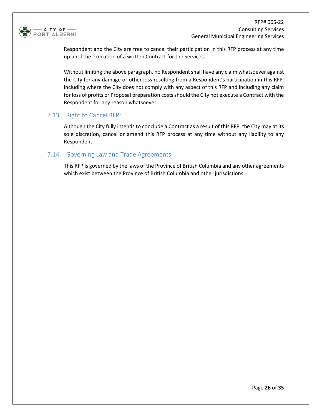

Respondent and the City are free to cancel their participation in this RFP process at any time up until the execution of a written Contract for the Services.

Without limiting the above paragraph, no Respondent shall have any claim whatsoever against the City for any damage or other loss resulting from a Respondent's participation in this RFP, including where the City does not comply with any aspect of this RFP and including any claim for loss of profits or Proposal preparation costs should the City not execute a Contract with the Respondent for any reason whatsoever.

#### 7.13. Right to Cancel RFP:

Although the City fully intends to conclude a Contract as a result of this RFP, the City may at its sole discretion, cancel or amend this RFP process at any time without any liability to any Respondent.

#### 7.14. Governing Law and Trade Agreements:

This RFP is governed by the laws of the Province of British Columbia and any other agreements which exist between the Province of British Columbia and other jurisdictions.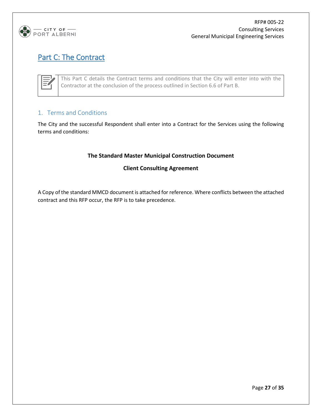

# Part C: The Contract

This Part C details the Contract terms and conditions that the City will enter into with the Contractor at the conclusion of the process outlined in Section 6.6 of Part B.

# 1. Terms and Conditions

The City and the successful Respondent shall enter into a Contract for the Services using the following terms and conditions:

#### **The Standard Master Municipal Construction Document**

#### **Client Consulting Agreement**

A Copy of the standard MMCD document is attached for reference. Where conflicts between the attached contract and this RFP occur, the RFP is to take precedence.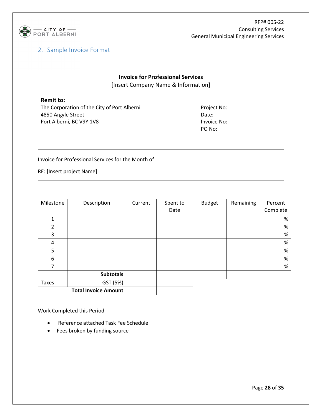

# 2. Sample Invoice Format

# **Invoice for Professional Services** [Insert Company Name & Information]

#### **Remit to:**

The Corporation of the City of Port Alberni 4850 Argyle Street Port Alberni, BC V9Y 1V8

Project No: Date: Invoice No: PO No:

Invoice for Professional Services for the Month of \_\_\_\_\_\_\_\_\_\_\_\_

RE: [Insert project Name]

| Milestone      | Description                 | Current | Spent to | <b>Budget</b> | Remaining | Percent  |
|----------------|-----------------------------|---------|----------|---------------|-----------|----------|
|                |                             |         | Date     |               |           | Complete |
| 1              |                             |         |          |               |           | $\%$     |
| 2              |                             |         |          |               |           | $\%$     |
| 3              |                             |         |          |               |           | $\%$     |
| $\overline{4}$ |                             |         |          |               |           | $\%$     |
| 5              |                             |         |          |               |           | $\%$     |
| 6              |                             |         |          |               |           | $\%$     |
| 7              |                             |         |          |               |           | $\%$     |
|                | <b>Subtotals</b>            |         |          |               |           |          |
| <b>Taxes</b>   | GST (5%)                    |         |          |               |           |          |
|                | <b>Total Invoice Amount</b> |         |          |               |           |          |

Work Completed this Period

- Reference attached Task Fee Schedule
- Fees broken by funding source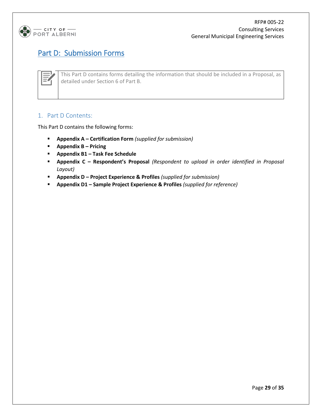

# Part D: Submission Forms

This Part D contains forms detailing the information that should be included in a Proposal, as detailed under Section 6 of Part B.

# 1. Part D Contents:

This Part D contains the following forms:

- **Appendix A – Certification Form** *(supplied for submission)*
- **Appendix B – Pricing**
- **Appendix B1 – Task Fee Schedule**
- **Appendix C – Respondent's Proposal** *(Respondent to upload in order identified in Proposal Layout)*
- **Appendix D – Project Experience & Profiles** *(supplied for submission)*
- **Appendix D1 – Sample Project Experience & Profiles** *(supplied for reference)*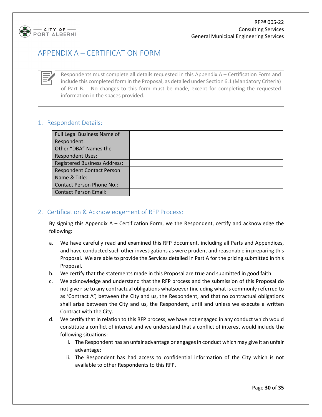

# APPENDIX A – CERTIFICATION FORM

Respondents must complete all details requested in this Appendix A – Certification Form and include this completed form in the Proposal, as detailed under Section 6.1 (Mandatory Criteria) of Part B. No changes to this form must be made, except for completing the requested information in the spaces provided.

# 1. Respondent Details:

| Full Legal Business Name of         |  |
|-------------------------------------|--|
| Respondent:                         |  |
| Other "DBA" Names the               |  |
| <b>Respondent Uses:</b>             |  |
| <b>Registered Business Address:</b> |  |
| <b>Respondent Contact Person</b>    |  |
| Name & Title:                       |  |
| <b>Contact Person Phone No.:</b>    |  |
| <b>Contact Person Email:</b>        |  |

# 2. Certification & Acknowledgement of RFP Process:

By signing this Appendix A – Certification Form, we the Respondent, certify and acknowledge the following:

- a. We have carefully read and examined this RFP document, including all Parts and Appendices, and have conducted such other investigations as were prudent and reasonable in preparing this Proposal. We are able to provide the Services detailed in Part A for the pricing submitted in this Proposal.
- b. We certify that the statements made in this Proposal are true and submitted in good faith.
- c. We acknowledge and understand that the RFP process and the submission of this Proposal do not give rise to any contractual obligations whatsoever (including what is commonly referred to as 'Contract A') between the City and us, the Respondent, and that no contractual obligations shall arise between the City and us, the Respondent, until and unless we execute a written Contract with the City.
- d. We certify that in relation to this RFP process, we have not engaged in any conduct which would constitute a conflict of interest and we understand that a conflict of interest would include the following situations:
	- i. The Respondent has an unfair advantage or engages in conduct which may give it an unfair advantage;
	- ii. The Respondent has had access to confidential information of the City which is not available to other Respondents to this RFP.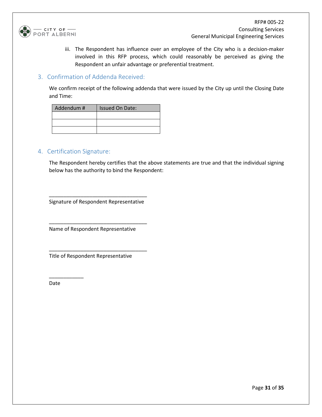

iii. The Respondent has influence over an employee of the City who is a decision-maker involved in this RFP process, which could reasonably be perceived as giving the Respondent an unfair advantage or preferential treatment.

#### 3. Confirmation of Addenda Received:

We confirm receipt of the following addenda that were issued by the City up until the Closing Date and Time:

| Addendum # | <b>Issued On Date:</b> |
|------------|------------------------|
|            |                        |
|            |                        |
|            |                        |

### 4. Certification Signature:

The Respondent hereby certifies that the above statements are true and that the individual signing below has the authority to bind the Respondent:

\_\_\_\_\_\_\_\_\_\_\_\_\_\_\_\_\_\_\_\_\_\_\_\_\_\_\_\_\_\_\_\_\_\_ Signature of Respondent Representative

\_\_\_\_\_\_\_\_\_\_\_\_\_\_\_\_\_\_\_\_\_\_\_\_\_\_\_\_\_\_\_\_\_\_

\_\_\_\_\_\_\_\_\_\_\_\_\_\_\_\_\_\_\_\_\_\_\_\_\_\_\_\_\_\_\_\_\_\_

Name of Respondent Representative

Title of Respondent Representative

Date

\_\_\_\_\_\_\_\_\_\_\_\_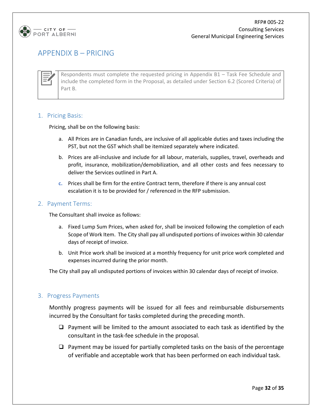

# APPENDIX B – PRICING

Respondents must complete the requested pricing in Appendix B1 – Task Fee Schedule and include the completed form in the Proposal, as detailed under Section 6.2 (Scored Criteria) of Part B.

#### 1. Pricing Basis:

Pricing, shall be on the following basis:

- a. All Prices are in Canadian funds, are inclusive of all applicable duties and taxes including the PST, but not the GST which shall be itemized separately where indicated.
- b. Prices are all-inclusive and include for all labour, materials, supplies, travel, overheads and profit, insurance, mobilization/demobilization, and all other costs and fees necessary to deliver the Services outlined in Part A.
- **c.** Prices shall be firm for the entire Contract term, therefore if there is any annual cost escalation it is to be provided for / referenced in the RFP submission.

#### 2. Payment Terms:

The Consultant shall invoice as follows:

- a. Fixed Lump Sum Prices, when asked for, shall be invoiced following the completion of each Scope of Work Item. The City shall pay all undisputed portions of invoices within 30 calendar days of receipt of invoice.
- b. Unit Price work shall be invoiced at a monthly frequency for unit price work completed and expenses incurred during the prior month.

The City shall pay all undisputed portions of invoices within 30 calendar days of receipt of invoice.

#### 3. Progress Payments

Monthly progress payments will be issued for all fees and reimbursable disbursements incurred by the Consultant for tasks completed during the preceding month.

- $\Box$  Payment will be limited to the amount associated to each task as identified by the consultant in the task-fee schedule in the proposal.
- $\Box$  Payment may be issued for partially completed tasks on the basis of the percentage of verifiable and acceptable work that has been performed on each individual task.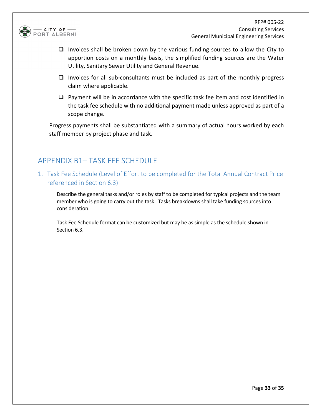

- $\Box$  Invoices shall be broken down by the various funding sources to allow the City to apportion costs on a monthly basis, the simplified funding sources are the Water Utility, Sanitary Sewer Utility and General Revenue.
- $\Box$  Invoices for all sub-consultants must be included as part of the monthly progress claim where applicable.
- $\Box$  Payment will be in accordance with the specific task fee item and cost identified in the task fee schedule with no additional payment made unless approved as part of a scope change.

Progress payments shall be substantiated with a summary of actual hours worked by each staff member by project phase and task.

# APPENDIX B1– TASK FEE SCHEDULE

1. Task Fee Schedule (Level of Effort to be completed for the Total Annual Contract Price referenced in Section 6.3)

Describe the general tasks and/or roles by staff to be completed for typical projects and the team member who is going to carry out the task. Tasks breakdowns shall take funding sources into consideration.

Task Fee Schedule format can be customized but may be as simple as the schedule shown in Section 6.3.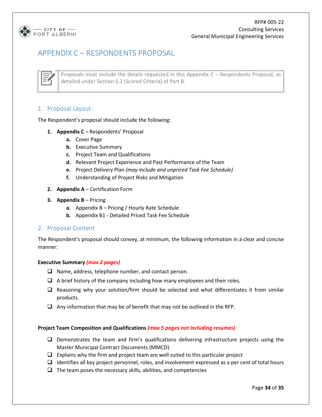

# APPENDIX C – RESPONDENTS PROPOSAL



Proposals must include the details requested in this Appendix C – Respondents Proposal, as detailed under Section 6.2 (Scored Criteria) of Part B.

#### 1. Proposal Layout:

The Respondent's proposal should include the following:

- **1. Appendix C** Respondents' Proposal
	- **a.** Cover Page
	- **b.** Executive Summary
	- **c.** Project Team and Qualifications
	- **d.** Relevant Project Experience and Past Performance of the Team
	- **e.** Project Delivery Plan *(may include and unpriced Task Fee Schedule)*
	- **f.** Understanding of Project Risks and Mitigation
- **2. Appendix A** Certification Form
- **3. Appendix B**  Pricing
	- **a.** Appendix B Pricing / Hourly Rate Schedule
	- **b.** Appendix B1 Detailed Priced Task Fee Schedule

#### 2. Proposal Content

The Respondent's proposal should convey, at minimum, the following information in a clear and concise manner:

#### **Executive Summary** *(max 2 pages)*

- $\Box$  Name, address, telephone number, and contact person.
- $\Box$  A brief history of the company including how many employees and their roles.
- $\Box$  Reasoning why your solution/firm should be selected and what differentiates it from similar products.
- $\Box$  Any information that may be of benefit that may not be outlined in the RFP.

#### **Project Team Composition and Qualifications** *(max 5 pages not including resumes)*

- $\Box$  Demonstrates the team and firm's qualifications delivering infrastructure projects using the Master Municipal Contract Documents (MMCD)
- $\Box$  Explains why the firm and project team are well suited to this particular project
- $\Box$  Identifies all key project personnel, roles, and involvement expressed as a per cent of total hours
- $\Box$  The team poses the necessary skills, abilities, and competencies